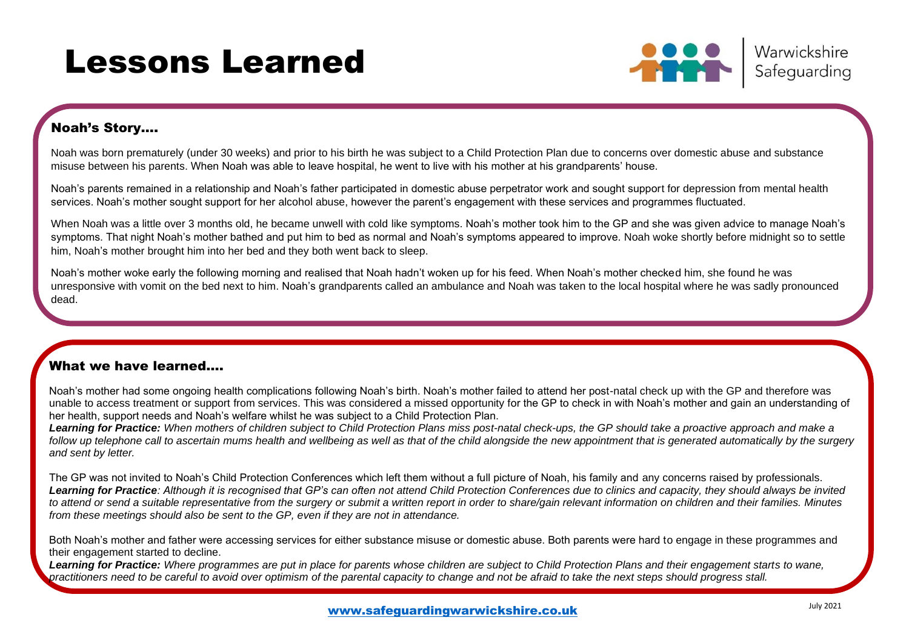# Lessons Learned



### Noah's Story….

Noah was born prematurely (under 30 weeks) and prior to his birth he was subject to a Child Protection Plan due to concerns over domestic abuse and substance misuse between his parents. When Noah was able to leave hospital, he went to live with his mother at his grandparents' house.

Noah's parents remained in a relationship and Noah's father participated in domestic abuse perpetrator work and sought support for depression from mental health services. Noah's mother sought support for her alcohol abuse, however the parent's engagement with these services and programmes fluctuated.

When Noah was a little over 3 months old, he became unwell with cold like symptoms. Noah's mother took him to the GP and she was given advice to manage Noah's symptoms. That night Noah's mother bathed and put him to bed as normal and Noah's symptoms appeared to improve. Noah woke shortly before midnight so to settle him, Noah's mother brought him into her bed and they both went back to sleep.

Noah's mother woke early the following morning and realised that Noah hadn't woken up for his feed. When Noah's mother checked him, she found he was unresponsive with vomit on the bed next to him. Noah's grandparents called an ambulance and Noah was taken to the local hospital where he was sadly pronounced dead.

### What we have learned….

Noah's mother had some ongoing health complications following Noah's birth. Noah's mother failed to attend her post-natal check up with the GP and therefore was unable to access treatment or support from services. This was considered a missed opportunity for the GP to check in with Noah's mother and gain an understanding of her health, support needs and Noah's welfare whilst he was subject to a Child Protection Plan.

*Learning for Practice: When mothers of children subject to Child Protection Plans miss post-natal check-ups, the GP should take a proactive approach and make a follow up telephone call to ascertain mums health and wellbeing as well as that of the child alongside the new appointment that is generated automatically by the surgery and sent by letter.*

The GP was not invited to Noah's Child Protection Conferences which left them without a full picture of Noah, his family and any concerns raised by professionals. *Learning for Practice: Although it is recognised that GP's can often not attend Child Protection Conferences due to clinics and capacity, they should always be invited to attend or send a suitable representative from the surgery or submit a written report in order to share/gain relevant information on children and their families. Minutes from these meetings should also be sent to the GP, even if they are not in attendance.*

Both Noah's mother and father were accessing services for either substance misuse or domestic abuse. Both parents were hard to engage in these programmes and their engagement started to decline.

*Learning for Practice: Where programmes are put in place for parents whose children are subject to Child Protection Plans and their engagement starts to wane, practitioners need to be careful to avoid over optimism of the parental capacity to change and not be afraid to take the next steps should progress stall.*